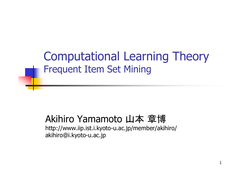Computational Learning Theory Frequent Item Set Mining

#### Akihiro Yamamoto 山本 章博

http://www.iip.ist.i.kyoto-u.ac.jp/member/akihiro/ akihiro@i.kyoto-u.ac.jp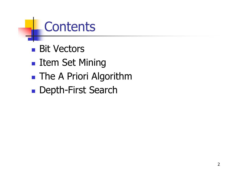### **Contents**

- Bit Vectors
- **Item Set Mining**
- **The A Priori Algorithm**
- **Depth-First Search**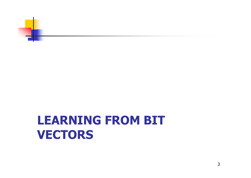

### **LEARNING FROM BIT VECTORS**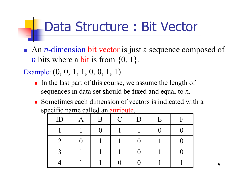### Data Structure : Bit Vector

■ An *n*-dimension bit vector is just a sequence composed of *n* bits where a bit is from  $\{0, 1\}$ .

Example:  $(0, 0, 1, 1, 0, 0, 1, 1)$ 

- In the last part of this course, we assume the length of sequences in data set should be fixed and equal to *n*.
- **Sometimes each dimension of vectors is indicated with a** specific name called an attribute.

| ID | $\bm{\mathsf{A}}$ | B | $\mathcal{C}$ | D | E | $\overline{\mathrm{F}}$ |
|----|-------------------|---|---------------|---|---|-------------------------|
|    |                   |   |               |   | ⋂ |                         |
|    | U                 |   |               |   |   |                         |
|    |                   |   |               |   |   |                         |
|    |                   |   |               |   |   |                         |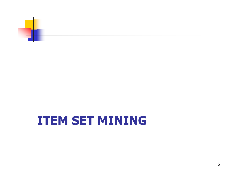

### **ITEM SET MINING**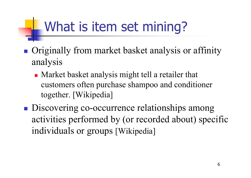## What is item set mining?

- **Originally from market basket analysis or affinity** analysis
	- **Market basket analysis might tell a retailer that** customers often purchase shampoo and conditioner together. [Wikipedia]
- **Discovering co-occurrence relationships among** activities performed by (or recorded about) specific individuals or groups [Wikipedia]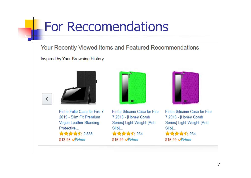### For Reccomendations

Your Recently Viewed Items and Featured Recommendations

Inspired by Your Browsing History





Fintie Folio Case for Fire 7 2015 - Slim Fit Premium Vegan Leather Standing Protective... ★★★★☆ 2.835 \$13.95 Prime



Fintie Silicone Case for Fire 7 2015 - [Honey Comb Series] Light Weight [Anti  $Slip]...$ ★★★★★ 934 \$15.99 Prime



Fintie Silicone Case for Fire 7 2015 - [Honey Comb Series] Light Weight [Anti  $Slip]...$ ★★★★☆ 934 \$15.99 Prime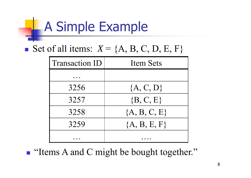## A Simple Example

Set of all items:  $X = \{A, B, C, D, E, F\}$ 

| <b>Transaction ID</b> | <b>Item Sets</b> |
|-----------------------|------------------|
|                       |                  |
| 3256                  | ${A, C, D}$      |
| 3257                  | $\{B, C, E\}$    |
| 3258                  | ${A, B, C, E}$   |
| 3259                  | ${A, B, E, F}$   |
|                       |                  |

**I** "Items A and C might be bought together."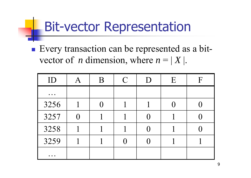### Bit-vector Representation

**Every transaction can be represented as a bit**vector of *n* dimension, where  $n = |X|$ .

| ID                                                                       | B | $\mathcal{C}$ | D                 | E | $\mathbf F$ |
|--------------------------------------------------------------------------|---|---------------|-------------------|---|-------------|
| $\bullet\quad\bullet\quad\bullet$                                        |   |               |                   |   |             |
| 3256                                                                     |   |               |                   |   |             |
| 3257                                                                     |   |               | $\left( \right)$  |   |             |
| 3258                                                                     |   |               | $\mathbf{\Omega}$ |   |             |
| 3259                                                                     |   |               |                   |   |             |
| $\bullet\hspace{0.4mm}\bullet\hspace{0.4mm}\bullet\hspace{0.4mm}\bullet$ |   |               |                   |   |             |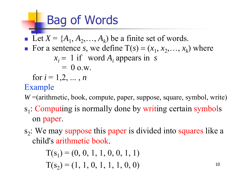## Bag of Words

Ŧ Let  $X = \{A_1, A_2, \ldots, A_k\}$  be a finite set of words. T. For a sentence *s*, we define  $T(s) = (x_1, x_2, \ldots, x_k)$  where  $x_i = 1$  if word  $A_i$  appears in *s*  $= 0$  o.w.

for  $i = 1, 2, ..., n$ 

#### Example

*W* =(arithmetic, book, compute, paper, suppose, square, symbol, write)

- s<sub>1</sub>: Computing is normally done by writing certain symbols on paper.
- $s<sub>2</sub>$ : We may suppose this paper is divided into squares like a child's arithmetic book.

$$
T(s1) = (0, 0, 1, 1, 0, 0, 1, 1)
$$
  
\n
$$
T(s2) = (1, 1, 0, 1, 1, 1, 0, 0)
$$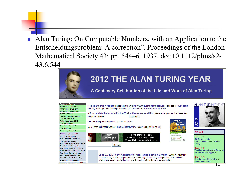F Alan Turing: On Computable Numbers, with an Application to the Entscheidungsproblem: A correction". Proceedings of the London Mathematical Society 43: pp. 544–6. 1937. doi:10.1112/plms/s2- 43.6.544

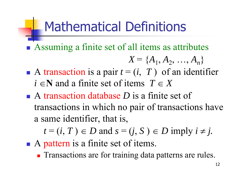### Mathematical Definitions

**Assuming a finite set of all items as attributes** 

$$
X = \{A_1, A_2, ..., A_n\}
$$

- A transaction is a pair  $t = (i, T)$  of an identifier  $i \in \mathbb{N}$  and a finite set of items  $T \in X$
- A transaction database *D* is a finite set of transactions in which no pair of transactions have a same identifier, that is,

 $t = (i, T) \in D$  and  $s = (j, S) \in D$  imply  $i \neq j$ .

- A pattern is a finite set of items.
	- **Transactions are for training data patterns are rules.**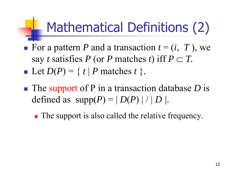## Mathematical Definitions (2)

- For a pattern P and a transaction  $t = (i, T)$ , we say *t* satisfies P (or P matches *t*) iff  $P \subset T$ .  $\blacksquare$  Let  $D(P) = \{ t \mid P \text{ matches } t \}.$
- ■ The support of P in a transaction database *D* is defined as  $supp(P) = |D(P)| / |D|$ .
	- **The support is also called the relative frequency.**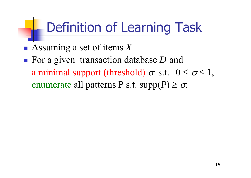## Definition of Learning Task

Assuming a set of items *X*

■ For a given transaction database *D* and a minimal support (threshold)  $\sigma$  s.t.  $0 \le \sigma \le 1$ , enumerate all patterns P s.t.  $supp(P) \geq \sigma$ .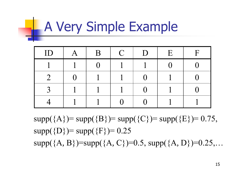# **A Very Simple Example**

| ID | B | $\mathcal{C}$ | D | E | $\boldsymbol{\mathsf{F}}$ |
|----|---|---------------|---|---|---------------------------|
|    |   |               |   |   |                           |
|    |   |               |   |   |                           |
|    |   |               |   |   |                           |
|    |   |               |   |   |                           |

 $supp({A})=supp({B})=supp({C})=supp({E})=0.75$ ,  $supp({D})=supp({F})=0.25$ supp( ${A, B}$ )=supp( ${A, C}$ )=0.5, supp( ${A, D}$ )=0.25,...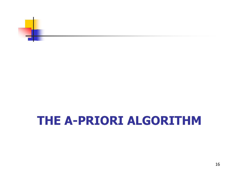

### **THE A-PRIORI ALGORITHM**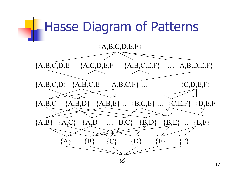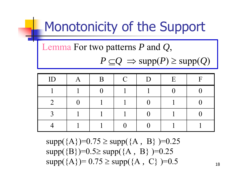### Monotonicity of the Support

Lemma For two patterns *P* and *Q*,

 $P \subseteq Q \implies \text{supp}(P) \geq \text{supp}(Q)$ 

| ID | A | B | $\mathcal{C}$ | D | E | $\mathbf F$ |
|----|---|---|---------------|---|---|-------------|
|    |   |   |               |   |   |             |
|    |   |   |               |   |   |             |
|    |   |   |               |   |   |             |
|    |   |   |               |   |   |             |

supp({A})=0.75 supp({A *,* B} )=0.25 supp({B})=0.5≥ supp({A, B})=0.25  $supp(\{A\})=0.75 \geq supp(\{A, C\})=0.5$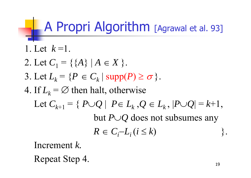### **A Propri Algorithm** [Agrawal et al. 93]

\n- 1. Let 
$$
k = 1
$$
.
\n- 2. Let  $C_1 = \{ \{A\} \mid A \in X \}$ .
\n- 3. Let  $L_k = \{ P \in C_k \mid \text{supp}(P) \geq \sigma \}$ .
\n- 4. If  $L_k = \emptyset$  then halt, otherwise. Let  $C_{k+1} = \{ P \cup Q \mid P \in L_k, Q \in L_k, |P \cup Q| = k+1, \text{ but } P \cup Q \text{ does not subsumes any } R \in C_i - L_i \, (i \leq k) \}$ .
\n

Increment *k.*

Repeat Step 4.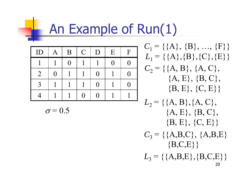### An Example of Run(1)

| ID             | A | B              | $\mathbf C$ | D            | E        | $\mathbf{F}$ |
|----------------|---|----------------|-------------|--------------|----------|--------------|
|                |   | $\overline{0}$ |             |              | $\Omega$ | [ ]          |
| $\overline{2}$ | 0 |                |             | 0            |          | [ ]          |
| $\mathbf{R}$   |   |                |             | $\mathcal O$ |          | [ ]          |
|                |   |                | ( )         | ( )          |          |              |

$$
\sigma\!=\!0.5
$$

 $C_1$  = {{A}, {B}, ..., {F}}  $L_1$  = {{A},{B},{C},{E}}  $C_2$  = {{A, B}, {A, C},  ${A, E}, {B, C},$  ${B, E}, {C, E}$ 

 $L_2 = \{ \{A, B\}, \{A, C\},\$  ${A, E}, {B, C},$  ${B, E}, {C, E}$  $C_3$  = {{A,B,C}, {A,B,E}  ${B, C, E}$ 

 $L_3$  = {{A,B,E},{B,C,E}}} 20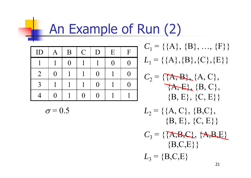### An Example of Run (2)

| ID             | $\bm{\mathsf{A}}$ | B        | $\mathcal{C}$ | D | E | $\mathbf{F}$ |
|----------------|-------------------|----------|---------------|---|---|--------------|
|                |                   | $\Omega$ |               |   | 0 |              |
| $\overline{2}$ | O                 |          |               | 0 |   |              |
| $\mathbf 3$    |                   |          |               | O |   |              |
|                | 0                 |          | 0             |   |   |              |

 $C_1$  = {{A}, {B}, ..., {F}}  $L_1$  = {{A},{B},{C},{E}}

 $C_2 = \{ \{A, B\}, \{A, C\}, \}$  $\{A, E\}, \{B, C\},$  $\{ {\rm B}, {\rm E}\}, \, \{ {\rm C}, {\rm E}\} \}$ 

$$
\sigma\!=\!0.5
$$

 $L_2$  = {{A, C}, {B, C},  ${B, E}, {C, E}$  $C_3 = \{ \{ \overline{A}, \overline{B}, \overline{C} \}, \{ \overline{A}, \overline{B}, \overline{E} \}$  ${B, C, E}$  $L_3 = {B, C, E}$ 21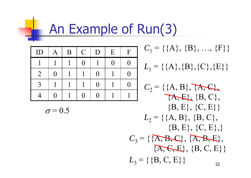## **An Example of Run(3)**

| ID             | $\bm{A}$ | B | $\mathbf C$     | D                | E   | F        |
|----------------|----------|---|-----------------|------------------|-----|----------|
|                |          |   | $\left(\right)$ |                  | ( ) | ( )      |
| $\overline{2}$ | $\Omega$ |   |                 | $\left( \right)$ |     | $\Omega$ |
| $\mathcal{R}$  |          |   |                 | ( )              |     |          |
|                | $\Omega$ |   | ( )             | ( )              |     |          |

$$
\sigma = 0.5
$$

**The Second Second** 

$$
C_1 = \{ \{A\}, \{B\}, ..., \{F\} \}
$$

 $L_1$  = {{A},{B},{C},{E}}

C<sub>2</sub> = {
$$
\{A, B\}
$$
,  $\{A, C\}$ ,  
\nA, E, {B, C},  
\nB, E, {C, E}}  
\nL<sub>2</sub> = { $\{A, B\}$ , {B, C},  
\nB, E}, {C, E},  
\nC<sub>3</sub> = { $\{A, B, C\}$ ,  $\{A, B, E\}$ ,  
\nA, C, E}, {B, C, E}  
\nL<sub>3</sub> = { $\{B, C, E\}$ }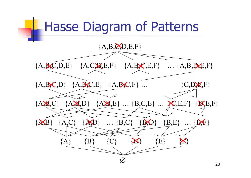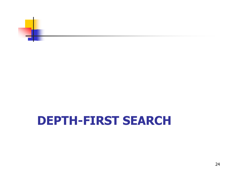

### **DEPTH-FIRST SEARCH**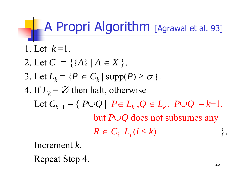### **A Propri Algorithm** [Agrawal et al. 93]

\n- 1. Let 
$$
k = 1
$$
.
\n- 2. Let  $C_1 = \{ \{A\} \mid A \in X \}$ .
\n- 3. Let  $L_k = \{ P \in C_k \mid \text{supp}(P) \geq \sigma \}$ .
\n- 4. If  $L_k = \emptyset$  then halt, otherwise. Let  $C_{k+1} = \{ P \cup Q \mid P \in L_k, Q \in L_k, |P \cup Q| = k+1, \text{ but } P \cup Q \text{ does not subsumes any } R \in C_i - L_i \ (i \leq k) \}$ .
\n

Increment *k.*

Repeat Step 4.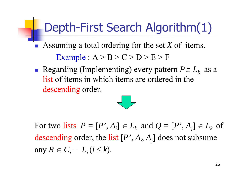### Depth-First Search Algorithm(1)

 Assuming a total ordering for the set *X* of items. Example :  $A > B > C > D > E > F$ 

Regarding (Implementing) every pattern  $P \in L_k$  as a list of items in which items are ordered in the descending order.



For two lists  $P = [P', A_i] \in L_k$  and  $Q = [P', A_j] \in L_k$  of descending order, the list [*P'*, *Ai*, *Aj*] does not subsume any  $R \in C_i - L_i$  ( $i \leq k$ ).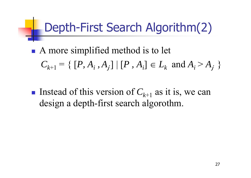### Depth-First Search Algorithm(2)

- A more simplified method is to let  $C_{k+1} = \{ [P, A_i, A_j] \mid [P, A_i] \in L_k \text{ and } A_i$  $>$   $A_j$   $\}$
- Instead of this version of  $C_{k+1}$  as it is, we can design a depth-first search algorothm.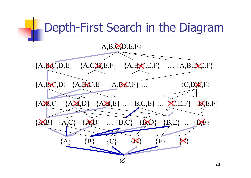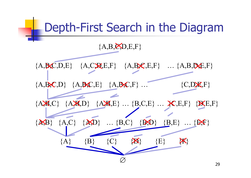

29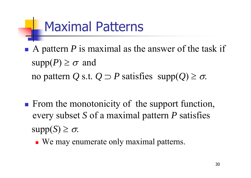### Maximal Patterns

- $\frac{1}{2}$  $\blacksquare$  A pattern *P* is maximal as the answer of the task if  $supp(P) \geq \sigma$  and no pattern Q s.t.  $Q \supset P$  satisfies  $\text{supp}(Q) \geq \sigma$ .
- $\frac{1}{2}$ **From the monotonicity of the support function,** every subset *S* of a maximal pattern *P* satisfies  $\mathrm{supp}(S)\geq\sigma.$ 
	- We may enumerate only maximal patterns.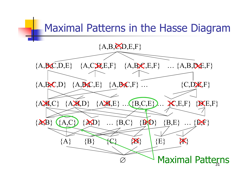# Maximal Patterns in the Hasse Diagram {A,B,C,D,E,F}  ${A, B, C, D, E}$   ${A, C, R, E, F}$   ${A, B, C, E, F}$  …  ${A, B, D, E, F}$  ${A, B, C, D}$   ${A, B, C, E}$   ${A, B, C, F}$  ...  ${C, D, E, F}$ {A,B,C} {A,B,D} {A,B,E} … {B,C,E} … {C,E,F} {D,E,F}  $\{A,B\}$   $\{A,C\}$   $\{A,D\}$  ...  $\{B,C\}$   $\{B,D\}$   $\{B,E\}$  ...  $\{B,F\}$  ${A}$   ${B}$   ${C}$   ${X}$   ${E}$   ${E}$   ${X}$  $\varnothing$ **Maximal Patterns**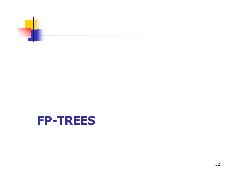![](_page_31_Picture_0.jpeg)

#### **FP-TREES**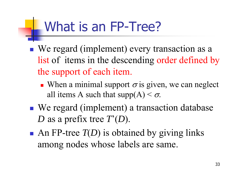### What is an FP-Tree?

- We regard (implement) every transaction as a list of items in the descending order defined by the support of each item.
	- When a minimal support  $\sigma$  is given, we can neglect all items A such that  $supp(A) < \sigma$ .
- ■ We regard (implement) a transaction database *D* as a prefix tree *T*'( *D*).
- An FP-tree  $T(D)$  is obtained by giving links among nodes whose labels are same.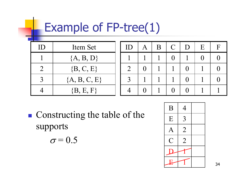### Example of FP-tree(1)

| ID            | Item Set       |
|---------------|----------------|
|               | ${A, B, D}$    |
| $\mathcal{L}$ | $\{B, C, E\}$  |
|               | ${A, B, C, E}$ |
|               | $\{B, E, F\}$  |

| ID             | $\mathbf{A}$ | B | $\mathsf{C}$ | D              | E | $\mathbf{F}$ |
|----------------|--------------|---|--------------|----------------|---|--------------|
|                |              |   | $\bf{0}$     |                | O | 0            |
| $\overline{2}$ | $\Omega$     |   |              | $\Omega$       |   | ⋂            |
| $\overline{3}$ |              |   |              | $\overline{0}$ |   | ⋂            |
|                |              |   |              |                |   |              |

**Constructing the table of the** supports  $\sigma = 0.5$ 

| B                        | $\overline{4}$ |  |
|--------------------------|----------------|--|
| ${\bf E}$                | 3              |  |
| $\overline{\mathcal{A}}$ | $\overline{2}$ |  |
| $\, C \,$                | $\overline{2}$ |  |
|                          |                |  |
|                          |                |  |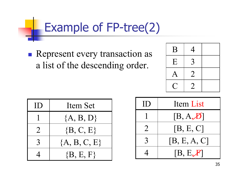### Example of FP-tree(2)

**Represent every transaction as** a list of the descending order.

![](_page_34_Figure_2.jpeg)

| $\prod$          | Item Set       |
|------------------|----------------|
|                  | ${A, B, D}$    |
| $\sum_{i=1}^{n}$ | $\{B, C, E\}$  |
| 3                | ${A, B, C, E}$ |
|                  | $\{B, E, F\}$  |

| ID             | Item List    |
|----------------|--------------|
|                | [B, A, B]    |
| $\overline{2}$ | [B, E, C]    |
| $\mathcal{E}$  | [B, E, A, C] |
|                | [B, E, F]    |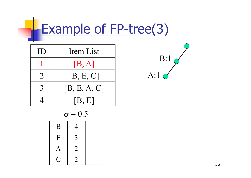# Example of FP-tree(3)

| $\prod$        | Item List    |
|----------------|--------------|
|                | [B, A]       |
| $\overline{2}$ | [B, E, C]    |
| $\mathcal{R}$  | [B, E, A, C] |
|                | [B, E]       |

$$
\sigma\!=\!0.5
$$

| B                     | 4                                                                                                               |  |
|-----------------------|-----------------------------------------------------------------------------------------------------------------|--|
| E                     | 3                                                                                                               |  |
| $\bm{A}$              | $\overline{2}$                                                                                                  |  |
| $\epsilon_{\rm{max}}$ | $\mathcal{L}% _{M_{1},M_{2}}^{\prime\prime}(\varepsilon)=\mathcal{L}_{M_{1},M_{2}}^{\prime\prime}(\varepsilon)$ |  |

![](_page_35_Figure_4.jpeg)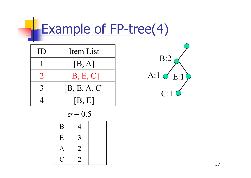## Example of FP-tree(4)

| $\prod$        | Item List    |  |
|----------------|--------------|--|
|                | [B, A]       |  |
| $\overline{2}$ | [B, E, C]    |  |
| $\mathcal{R}$  | [B, E, A, C] |  |
|                | [B, E]       |  |

$$
\sigma\!=\!0.5
$$

| B         | 4              |  |
|-----------|----------------|--|
| E         | 3              |  |
| ${\rm A}$ | $\overline{2}$ |  |
|           | 2              |  |

![](_page_36_Picture_4.jpeg)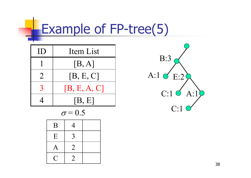## Example of FP-tree(5)

| $\prod$ | <b>Item List</b> |
|---------|------------------|
|         | [B, A]           |
| $\sum$  | [B, E, C]        |
|         | [B, E, A, C]     |
|         | [B, E]           |

$$
\sigma\!=\!0.5
$$

| B              | 4              |  |
|----------------|----------------|--|
| E              | 3              |  |
| A              | $\overline{2}$ |  |
| $\overline{a}$ | $\overline{2}$ |  |

![](_page_37_Figure_4.jpeg)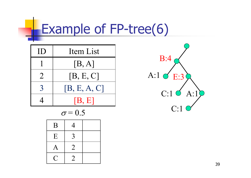## Example of FP-tree(6)

| $\bf \rm ID$   | Item List    |
|----------------|--------------|
|                | [B, A]       |
| $\overline{2}$ | [B, E, C]    |
| $\mathbf 3$    | [B, E, A, C] |
|                | [B, E]       |

$$
\sigma = 0.5
$$

| B         | 4                           |  |
|-----------|-----------------------------|--|
| ${\bf E}$ | 3                           |  |
| A         | $\overline{2}$              |  |
|           | $\mathcal{D}_{\mathcal{L}}$ |  |

![](_page_38_Figure_4.jpeg)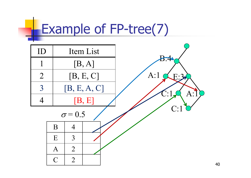### Example of FP-tree(7)

![](_page_39_Figure_1.jpeg)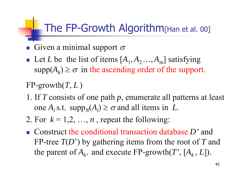#### The FP-Growth Algorithm [Han et al. 00]

- Given a minimal support  $\sigma$
- F. Let *L* be the list of items  $[A_1, A_2, \ldots, A_m]$  satisfying  $supp(A_k) \geq \sigma$  in the ascending order of the support.
- $FP$ -growth $(T, L)$
- 1. If *T* consists of one path *p*, enumerate all patterns at least one  $A_i$  s.t. supp<sub>N</sub>( $A_i$ )  $\geq \sigma$  and all items in *L*.
- 2. For  $k = 1, 2, ..., n$ , repeat the following:
- Construct the conditional transaction database *D'* and FP-tree *T*(*D*') by gathering items from the root of *T* and the parent of  $A_k$ , and execute FP-growth(*T*', [ $A_k$ , *L*]).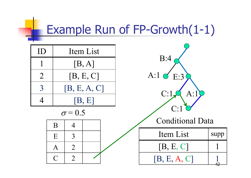# Example Run of FP-Growth(1-1)

| ID             |              | Item List      |           |                      |                         |      |
|----------------|--------------|----------------|-----------|----------------------|-------------------------|------|
|                |              |                | [B, A]    |                      | B:4                     |      |
| $\overline{2}$ |              |                | [B, E, C] |                      | A:1 $\sigma$ E:3        |      |
| $\overline{3}$ |              | [B, E, A, C]   |           |                      |                         |      |
|                |              | [B, E]         |           | C:1<br>$\rm A\colon$ |                         |      |
|                |              | $\sigma$ = 0.5 |           |                      | C:1                     |      |
|                | B            | $\overline{4}$ |           |                      | <b>Conditional Data</b> |      |
|                | E            | 3              |           |                      | Item List               | supp |
|                | $\mathbf{A}$ | $\overline{2}$ |           |                      | [B, E, C]               |      |
|                | $\bigcap$    | $\overline{2}$ |           |                      | [B, E, A, C]            |      |

₩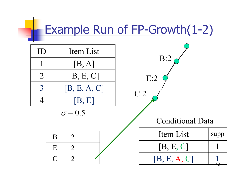#### Example Run of FP-Growth(1-2)

![](_page_42_Figure_1.jpeg)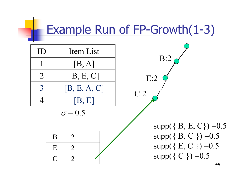### Example Run of FP-Growth(1-3)

![](_page_43_Figure_1.jpeg)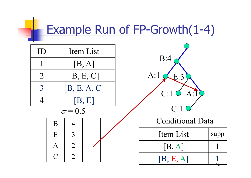### Example Run of FP-Growth(1-4)

![](_page_44_Figure_1.jpeg)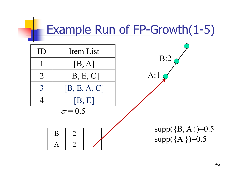### Example Run of FP-Growth(1-5)

![](_page_45_Figure_1.jpeg)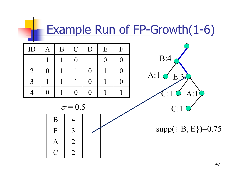### Example Run of FP-Growth(1-6)

| ID             | $\mathbf{A}$   | B | $\mathbf C$ | D              | E              | $\mathbf{F}$ |
|----------------|----------------|---|-------------|----------------|----------------|--------------|
|                |                |   | $\Omega$    |                | $\overline{0}$ | $\Omega$     |
| $\overline{2}$ | $\overline{0}$ |   |             | $\overline{0}$ |                | 0            |
| $\mathcal{R}$  |                |   |             | $\overline{0}$ |                | 0            |
|                | 0              |   | 0           | $\Omega$       |                |              |

![](_page_46_Figure_2.jpeg)

 $\sigma = 0.5$ 

![](_page_46_Figure_4.jpeg)

 $supp({B, E})=0.75$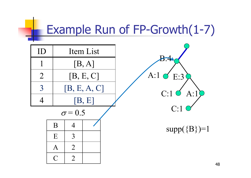### Example Run of FP-Growth(1-7)

![](_page_47_Figure_1.jpeg)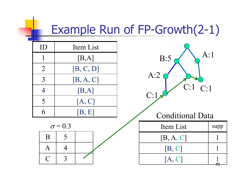#### Example Run of FP-Growth(2-1)

| ID             | Item List |
|----------------|-----------|
|                | [B,A]     |
| $\overline{2}$ | [B, C, D] |
| 3              | [B, A, C] |
| 4              | [B,A]     |
| 5              | [A, C]    |
|                | [B, E]    |

 $\sigma = 0.3$ 

 $\mathbf{B}$  | 5

 $A \mid 4$ 

 $C \mid 3$ 

![](_page_48_Figure_2.jpeg)

49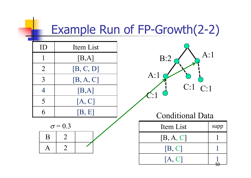### Example Run of FP-Growth(2-2)

| ID                       | Item List |
|--------------------------|-----------|
|                          | [B,A]     |
| $\overline{2}$           | [B, C, D] |
| 3                        | [B, A, C] |
| 4                        | [B,A]     |
| $\overline{\mathcal{L}}$ | [A, C]    |
|                          | [B, E]    |

 $\sigma = 0.3$ 

 $B \mid 2$ 

 $A \mid 2$ 

![](_page_49_Figure_2.jpeg)

#### Conditional Data

| Item List | supp |
|-----------|------|
| [B, A, C] |      |
| [B, C]    |      |
| [A, C]    |      |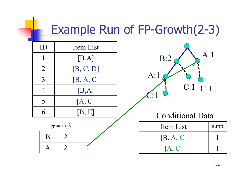## Example Run of FP-Growth(2-3)

--

| ID             | Item List      |                          |      |
|----------------|----------------|--------------------------|------|
|                | [B,A]          | A:1<br>B:2               |      |
| $\overline{2}$ | [B, C, D]      |                          |      |
| 3              | [B, A, C]      | A:1                      |      |
| $\overline{4}$ | [B,A]          | $C:1$ $C:1$<br>$\cdot$ 1 |      |
| 5              | [A, C]         |                          |      |
| 6              | [B, E]         | <b>Conditional Data</b>  |      |
|                | $\sigma$ = 0.3 | Item List                | supp |
| B              | $\overline{2}$ | [B, A, C]                |      |
| A              | $\overline{2}$ | [A, C]                   |      |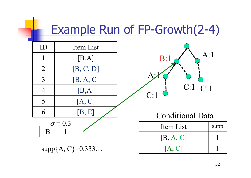### Example Run of FP-Growth(2-4)

![](_page_51_Figure_1.jpeg)